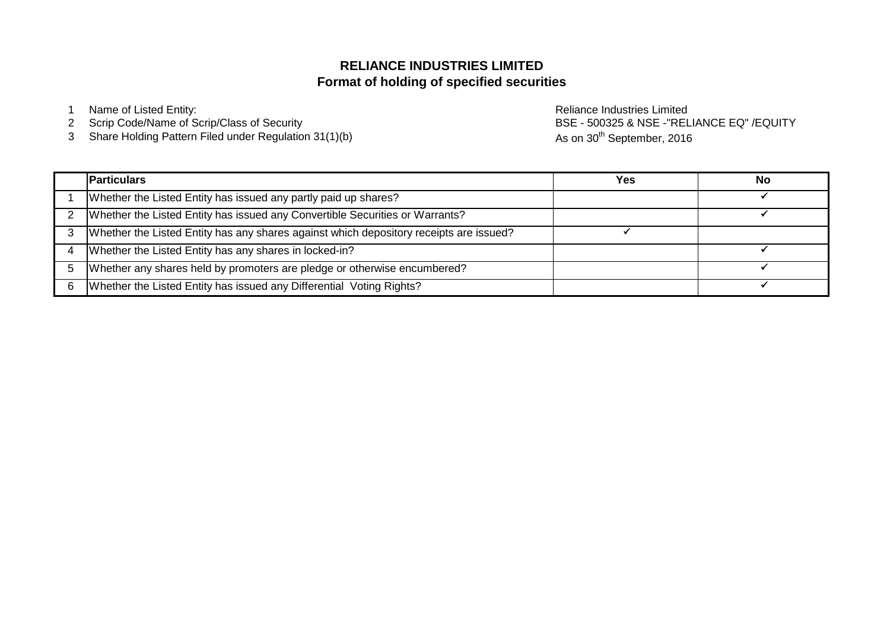# **Format of holding of specified securities RELIANCE INDUSTRIES LIMITED**

1 Name of Listed Entity: **Name of Listed Entity:** and the entity of the entity of the Reliance Industries Limited

- 2 Scrip Code/Name of Scrip/Class of Security
- 3 Share Holding Pattern Filed under Regulation 31(1)(b)

BSE - 500325 & NSE -"RELIANCE EQ" /EQUITY As on 30<sup>th</sup> September, 2016

| <b>Particulars</b>                                                                     | Yes | No |
|----------------------------------------------------------------------------------------|-----|----|
| Whether the Listed Entity has issued any partly paid up shares?                        |     |    |
| Whether the Listed Entity has issued any Convertible Securities or Warrants?           |     |    |
| Whether the Listed Entity has any shares against which depository receipts are issued? |     |    |
| Whether the Listed Entity has any shares in locked-in?                                 |     |    |
| Whether any shares held by promoters are pledge or otherwise encumbered?               |     |    |
| Whether the Listed Entity has issued any Differential Voting Rights?                   |     |    |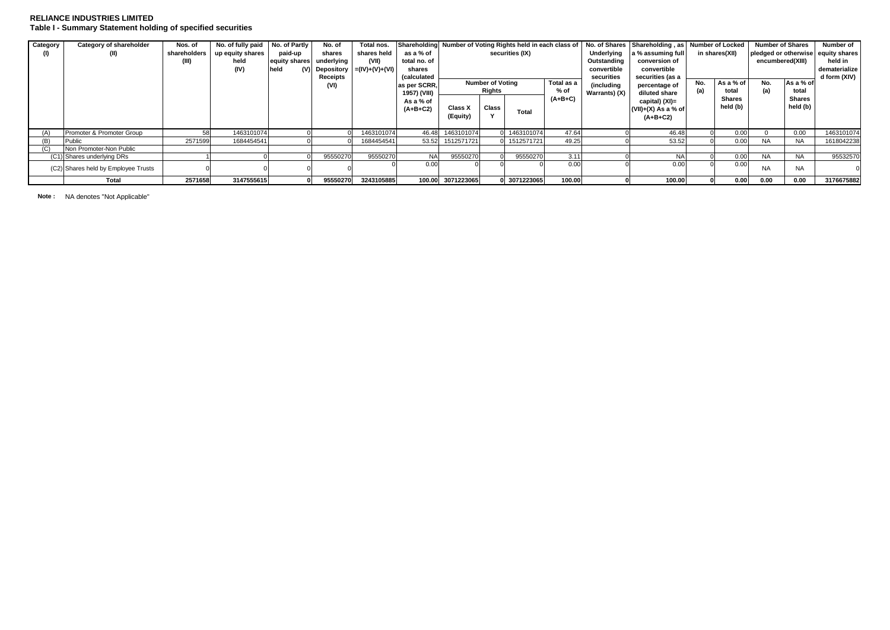### **RELIANCE INDUSTRIES LIMITED Table I - Summary Statement holding of specified securities**

| Category | Category of shareholder             | Nos. of      | No. of fully paid No. of Partly |               | No. of     | Total nos.                       | Shareholding Number of Voting Rights held in each class of |                                       |       |              |               |                   | No. of Shares Shareholding, as Number of Locked |     |                                    | <b>Number of Shares</b> |                           | Number of     |
|----------|-------------------------------------|--------------|---------------------------------|---------------|------------|----------------------------------|------------------------------------------------------------|---------------------------------------|-------|--------------|---------------|-------------------|-------------------------------------------------|-----|------------------------------------|-------------------------|---------------------------|---------------|
|          | (II)                                | shareholders | up equity shares                | paid-up       | shares     | shares held                      | as a % of                                                  | securities (IX)                       |       |              | Underlying    | a % assuming full | in shares(XII)                                  |     | pledged or otherwise equity shares |                         |                           |               |
|          |                                     |              | held                            | equity shares | underlying | (VII)                            | total no. of                                               |                                       |       |              |               | Outstanding       | conversion of                                   |     |                                    | encumbered(XIII)        | held in                   |               |
|          |                                     |              | (IV)                            | held          |            | (V) Depository $= (IV)+(V)+(VI)$ | shares                                                     |                                       |       |              |               | convertible       | convertible                                     |     |                                    |                         |                           | dematerialize |
|          |                                     |              |                                 |               | Receipts   |                                  | (calculated                                                |                                       |       |              | securities    | securities (as a  | No.                                             |     |                                    |                         | d form $(XIV)$            |               |
|          |                                     |              |                                 |               | (VI)       |                                  | as per SCRR.                                               | <b>Number of Voting</b><br>Total as a |       | (including   | percentage of |                   | As a % of                                       | No. | As a % of                          |                         |                           |               |
|          |                                     |              |                                 |               |            |                                  | 1957) (VIII)                                               | Rights                                |       | % of         |               | Warrants) (X)     | diluted share                                   | (a) | total                              | (a)                     | total                     |               |
|          |                                     |              |                                 |               |            |                                  | As a % of                                                  | Class X                               | Class |              | $(A+B+C)$     |                   | capital) (XI)=                                  |     | <b>Shares</b><br>held (b)          |                         | <b>Shares</b><br>held (b) |               |
|          |                                     |              |                                 |               |            |                                  | $(A+B+C2)$                                                 | (Equity)                              |       | Total        |               |                   | $(VII)+(X)$ As a % of                           |     |                                    |                         |                           |               |
|          |                                     |              |                                 |               |            |                                  |                                                            |                                       |       |              |               |                   | $(A+B+C2)$                                      |     |                                    |                         |                           |               |
| (A)      | Promoter & Promoter Group           |              | 1463101074                      |               |            | 1463101074                       | 46.48                                                      | 1463101074                            |       | 0 1463101074 | 47.64         |                   | 46.48                                           |     | 0.00                               |                         | 0.00                      | 1463101074    |
| (B)      | Public                              | 2571599      | 1684454541                      |               |            | 1684454541                       | 53.52                                                      | 1512571721                            |       | 0 1512571721 | 49.25         |                   | 53.52                                           |     | 0.00                               | <b>NA</b>               | <b>NA</b>                 | 1618042238    |
| Œ.       | Non Promoter-Non Public             |              |                                 |               |            |                                  |                                                            |                                       |       |              |               |                   |                                                 |     |                                    |                         |                           |               |
|          | (C1) Shares underlying DRs          |              |                                 |               | 95550270   | 95550270                         | <b>NA</b>                                                  | 95550270                              |       | 95550270     | 3.11          |                   | <b>NA</b>                                       |     | 0.00                               | <b>NA</b>               | <b>NA</b>                 | 95532570      |
|          | (C2) Shares held by Employee Trusts |              |                                 |               |            |                                  | 0.00                                                       |                                       |       |              | 0.00          |                   | 0.00                                            |     | 0.00                               | <b>NA</b>               | <b>NA</b>                 |               |
|          | Total                               | 2571658      | 3147555615                      |               | 95550270   | 3243105885                       |                                                            | 100.00 3071223065                     |       | 0 3071223065 | 100.00        |                   | 100.00                                          |     | 0.00                               | 0.00                    | 0.00                      | 3176675882    |

**Note :** NA denotes "Not Applicable"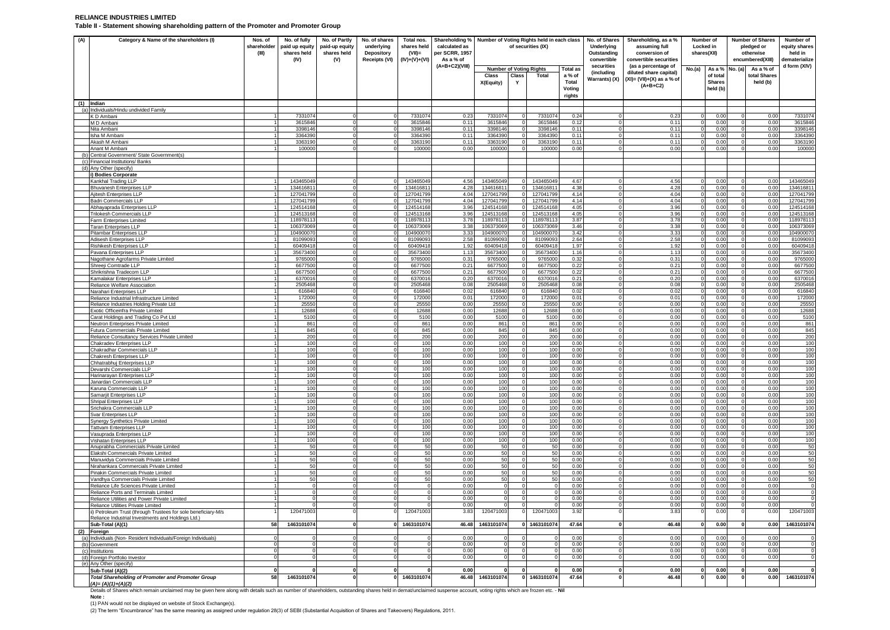### **RELIANCE INDUSTRIES LIMITED Table II - Statement showing shareholding pattern of the Promoter and Promoter Group**

| (A) | Category & Name of the shareholders (I)                                                              | Nos. of<br>shareholder<br>(III) | No. of fully<br>paid up equity<br>shares held<br>(IV) | No. of Partly<br>paid-up equity<br>shares held<br>(V) | No. of shares<br>underlying<br><b>Depository</b><br>Receipts (VI) | Total nos.<br>shares held<br>$(VII)$ =<br>$(IV)+(V)+(VI)$ | Shareholding %<br>calculated as<br>per SCRR, 1957<br>As a % of | Number of Voting Rights held in each class<br>of securities (IX) |            |                       |                                                        | No. of Shares<br>Underlying<br>Outstanding<br>convertible | Shareholding, as a %<br>assuming full<br>conversion of<br>convertible securities            | Number of<br>Locked in<br>shares(XII) |                                                 | <b>Number of Shares</b><br>pledged or<br>otherwise<br>encumbered(XIII) |                                       | Number of<br>equity shares<br>held in<br>dematerialize |
|-----|------------------------------------------------------------------------------------------------------|---------------------------------|-------------------------------------------------------|-------------------------------------------------------|-------------------------------------------------------------------|-----------------------------------------------------------|----------------------------------------------------------------|------------------------------------------------------------------|------------|-----------------------|--------------------------------------------------------|-----------------------------------------------------------|---------------------------------------------------------------------------------------------|---------------------------------------|-------------------------------------------------|------------------------------------------------------------------------|---------------------------------------|--------------------------------------------------------|
|     |                                                                                                      |                                 |                                                       |                                                       |                                                                   |                                                           | $(A+B+C2)(VIII)$                                               | <b>Number of Voting Rights</b><br>Class<br>X(Equity)             | Class<br>Y | <b>Total</b>          | <b>Total as</b><br>a % of<br>Total<br>Voting<br>rights | securities<br><i>(including</i><br>Warrants) (X)          | (as a percentage of<br>diluted share capital)<br>$(XI) = (VII)+(X)$ as a % of<br>$(A+B+C2)$ | No.(a)                                | As a %<br>of total<br><b>Shares</b><br>held (b) | No. (a)                                                                | As a % of<br>total Shares<br>held (b) | d form (XIV)                                           |
|     | $(1)$ Indian<br>(a) Individuals/Hindu undivided Family                                               |                                 |                                                       |                                                       |                                                                   |                                                           |                                                                |                                                                  |            |                       |                                                        |                                                           |                                                                                             |                                       |                                                 |                                                                        |                                       |                                                        |
|     | K D Ambani                                                                                           |                                 | 733107                                                |                                                       |                                                                   | 733107                                                    | 0.23                                                           | 7331074                                                          |            | 7331074               | 0.24                                                   |                                                           | 0.2                                                                                         |                                       | 0.00                                            |                                                                        | 0.00                                  | 733107                                                 |
|     | M D Ambani                                                                                           |                                 | 361584                                                |                                                       |                                                                   | 361584                                                    | 0.11                                                           | 3615846                                                          |            | 3615846               | 0.12                                                   |                                                           | 0.11                                                                                        |                                       | 0.00                                            |                                                                        | 0.00                                  | 361584                                                 |
|     | Nita Ambani<br>Isha M Ambani                                                                         |                                 | 339814<br>336439                                      |                                                       |                                                                   | 3398146<br>3364390                                        | 0.11<br>0.11                                                   | 3398146<br>3364390                                               |            | 3398146<br>3364390    | 0.11<br>0.11                                           |                                                           | 0.1<br>0.11                                                                                 |                                       | 0.00<br>0.00                                    |                                                                        | 0.00<br>0.00                          | 339814<br>3364390                                      |
|     | Akash M Ambani                                                                                       |                                 | 3363190                                               |                                                       |                                                                   | 3363190                                                   | 0.11                                                           | 3363190                                                          |            | 3363190               | 0.11                                                   |                                                           | 0.11                                                                                        |                                       | 0.00                                            |                                                                        | 0.00                                  | 336319                                                 |
|     | Anant M Ambani                                                                                       |                                 | 100000                                                |                                                       |                                                                   | 100000                                                    | 0.00                                                           | 100000                                                           |            | 100000                | 0.00                                                   |                                                           | 0.00                                                                                        |                                       | 0.00                                            |                                                                        | 0.00                                  | 100000                                                 |
| (b) | Central Government/ State Government(s)<br>(c) Financial Institutions/ Banks                         |                                 |                                                       |                                                       |                                                                   |                                                           |                                                                |                                                                  |            |                       |                                                        |                                                           |                                                                                             |                                       |                                                 |                                                                        |                                       |                                                        |
|     | (d) Any Other (specify)                                                                              |                                 |                                                       |                                                       |                                                                   |                                                           |                                                                |                                                                  |            |                       |                                                        |                                                           |                                                                                             |                                       |                                                 |                                                                        |                                       |                                                        |
|     | i) Bodies Corporate                                                                                  |                                 |                                                       |                                                       |                                                                   |                                                           |                                                                |                                                                  |            |                       |                                                        |                                                           |                                                                                             |                                       |                                                 |                                                                        |                                       |                                                        |
|     | Kankhal Trading LLP                                                                                  |                                 | 14346504<br>13461681                                  | $\Omega$                                              | $\Omega$                                                          | 14346504<br>134616811                                     | 4.56<br>4.28                                                   | 143465049<br>13461681                                            |            | 14346504<br>134616811 | 4.67<br>4.38                                           |                                                           | 4.56<br>4.28                                                                                |                                       | 0.00<br>0.00                                    | $\cap$                                                                 | 0.00<br>0.00                          | 14346504<br>13461681                                   |
|     | <b>Bhuvanesh Enterprises LLP</b><br>Ajitesh Enterprises LLP                                          |                                 | 12704179                                              |                                                       | $\mathbf 0$                                                       | 12704179                                                  | 4.04                                                           | 12704179                                                         |            | 12704179              | 4.14                                                   |                                                           | 4.04                                                                                        |                                       | 0.00                                            | $\mathbf 0$                                                            | 0.00                                  | 12704179                                               |
|     | <b>Badri Commercials LLP</b>                                                                         |                                 | 12704179                                              | $\Omega$                                              | $\Omega$                                                          | 127041799                                                 | 4.04                                                           | 12704179                                                         |            | 12704179              | 4.14                                                   | $\Omega$                                                  | 4.04                                                                                        |                                       | 0.00                                            | $\Omega$                                                               | 0.00                                  | 12704179                                               |
|     | Abhayaprada Enterprises LLF                                                                          |                                 | 124514168<br>124513168                                | $\mathbf 0$                                           |                                                                   | 124514168                                                 | 3.96<br>3.96                                                   | 12451416<br>12451316                                             |            | 12451416<br>12451316  | 4.05<br>4.05                                           | $\Omega$                                                  | 3.96<br>3.96                                                                                |                                       | 0.00<br>0.00                                    |                                                                        | 0.00<br>0.00                          | 12451416<br>12451316                                   |
|     | Trilokesh Commercials LLP<br>Farm Enterprises Limited                                                |                                 | 11897811                                              | $\Omega$                                              | $\Omega$<br>$\Omega$                                              | 124513168<br>11897811                                     | 3.78                                                           | 11897811                                                         |            | 11897811              | 3.87                                                   |                                                           | 3.78                                                                                        |                                       | 0.00                                            | $\Omega$                                                               | 0.00                                  | 11897811                                               |
|     | <b>Taran Enterprises LLP</b>                                                                         |                                 | 10637306                                              | $\Omega$                                              | $\Omega$                                                          | 10637306                                                  | 3.38                                                           | 10637306                                                         |            | 10637306              | 3.46                                                   | $\Omega$                                                  | 3.38                                                                                        |                                       | 0.00                                            | $\Omega$                                                               | 0.00                                  | 10637306                                               |
|     | <b>Pitambar Enterprises LLP</b>                                                                      |                                 | 10490007<br>8109909                                   | $\Omega$                                              | $\Omega$                                                          | 10490007<br>8109909                                       | 3.3<br>2.58                                                    | 10490007<br>8109909                                              |            | 10490007<br>8109909   | 3.42<br>2.64                                           | $\Omega$                                                  | 3.33<br>2.58                                                                                |                                       | 0.00<br>0.00                                    |                                                                        | 0.00<br>0.00                          | 10490007                                               |
|     | Adisesh Enterprises LLP<br>Rishikesh Enterprises LLP                                                 |                                 | 6040941                                               |                                                       |                                                                   | 60409418                                                  | 1.92                                                           | 60409418                                                         |            | 60409418              | 1.97                                                   |                                                           | 1.92                                                                                        |                                       | 0.00                                            |                                                                        | 0.00                                  | 8109909<br>6040941                                     |
|     | Pavana Enterprises LLP                                                                               |                                 | 3567340                                               | $\Omega$                                              | $\overline{0}$                                                    | 35673400                                                  | 1.13                                                           | 3567340                                                          | $\Omega$   | 35673400              | 1.16                                                   | $\Omega$                                                  | 1.13                                                                                        |                                       | 0.00                                            | $\Omega$                                                               | 0.00                                  | 3567340                                                |
|     | Nagothane Agrofarms Private Limited<br>Shreeii Comtrade LLP                                          |                                 | 976500<br>667750                                      | $\Omega$                                              | $\Omega$                                                          | 9765000<br>667750                                         | 0.31<br>$0.2^{\circ}$                                          | 976500<br>667750                                                 |            | 9765000<br>6677500    | 0.32<br>0.2                                            | $\Omega$                                                  | 0.31<br>0.2                                                                                 |                                       | 0.00<br>0.00                                    |                                                                        | 0.00<br>0.00                          | 976500<br>667750                                       |
|     | Shrikrishna Tradecom LLP                                                                             |                                 | 667750                                                |                                                       | $\Omega$                                                          | 667750                                                    | 0.21                                                           | 667750                                                           |            | 6677500               | 0.22                                                   |                                                           | 0.21                                                                                        |                                       | 0.00                                            |                                                                        | 0.00                                  | 667750                                                 |
|     | Kamalakar Enterprises LLP                                                                            |                                 | 637001                                                |                                                       | $\Omega$                                                          | 6370016                                                   | 0.20                                                           | 6370016                                                          |            | 6370016               | 0.21                                                   | $\Omega$                                                  | 0.20                                                                                        |                                       | 0.00                                            |                                                                        | 0.00                                  | 637001                                                 |
|     | Reliance Welfare Association                                                                         |                                 | 250546<br>61684                                       | $\Omega$                                              | $\Omega$                                                          | 250546<br>61684                                           | 0.08<br>0.02                                                   | 250546<br>61684                                                  | $\Omega$   | 250546<br>616840      | 0.08<br>0.02                                           | $\Omega$                                                  | 0.08<br>0.02                                                                                |                                       | 0.00<br>0.00                                    |                                                                        | 0.00<br>0.00                          | 250546<br>61684                                        |
|     | Narahari Enterprises LLP<br>Reliance Industrial Infrastructure Limited                               |                                 | 172000                                                |                                                       | $\Omega$                                                          | 172000                                                    | 0.01                                                           | 172000                                                           |            | 172000                | 0.01                                                   |                                                           | 0.01                                                                                        |                                       | 0.00                                            |                                                                        | 0.00                                  | 172000                                                 |
|     | Reliance Industries Holding Private Ltd                                                              |                                 | 25550                                                 |                                                       | $\Omega$                                                          | 25550                                                     | 0.00                                                           | 25550                                                            | $\Omega$   | 25550                 | 0.00                                                   | $\Omega$                                                  | 0.00                                                                                        |                                       | 0.00                                            |                                                                        | 0.00                                  | 25550                                                  |
|     | Exotic Officeinfra Private Limited<br>Carat Holdings and Trading Co Pvt Ltd                          |                                 | 12688<br>5100                                         | $\Omega$                                              | $\Omega$                                                          | 12688<br>5100                                             | 0.00<br>0.00                                                   | 12688<br>5100                                                    |            | 12688<br>5100         | 0.00<br>0.00                                           |                                                           | 0.00<br>0.00                                                                                |                                       | 0.00<br>0.00                                    |                                                                        | 0.00<br>0.00                          | 12688<br>5100                                          |
|     | Neutron Enterprises Private Limited                                                                  |                                 | 861                                                   |                                                       |                                                                   | 861                                                       | 0.00                                                           | 861                                                              |            | 861                   | 0.00                                                   |                                                           | 0.00                                                                                        |                                       | 0.00                                            |                                                                        | 0.00                                  | 861                                                    |
|     | Futura Commercials Private Limited                                                                   |                                 | 845                                                   |                                                       | $\Omega$                                                          | 845                                                       | 0.00                                                           | 845                                                              | $\Omega$   | 845                   | 0.00                                                   | $\Omega$                                                  | 0.00                                                                                        |                                       | 0.00                                            |                                                                        | 0.00                                  | 845                                                    |
|     | Reliance Consultancy Services Private Limited<br>Chakradev Enterprises LLP                           |                                 | 200<br>100                                            |                                                       |                                                                   | 200<br>100                                                | 0.00<br>0.00                                                   | 200<br>100                                                       |            | 200<br>100            | 0.00<br>0.00                                           |                                                           | 0.00<br>0.00                                                                                |                                       | 0.00<br>0.00                                    |                                                                        | 0.00<br>0.00                          | 200<br>100                                             |
|     | Chakradhar Commercials LLP                                                                           |                                 | 100                                                   |                                                       | $\Omega$                                                          | 100                                                       | 0.00                                                           | 100                                                              |            | 100                   | 0.00                                                   |                                                           | 0.00                                                                                        |                                       | 0.00                                            |                                                                        | 0.00                                  | 100                                                    |
|     | Chakresh Enterprises LLP                                                                             |                                 | 100                                                   |                                                       |                                                                   | 100                                                       | 0.00                                                           | 100                                                              |            | 100                   | 0.00                                                   |                                                           | 0.00                                                                                        |                                       | 0.00                                            |                                                                        | 0.00                                  | 100                                                    |
|     | Chhatrabhui Enterprises LLP<br>Devarshi Commercials LLP                                              |                                 | 100<br>100                                            | $\Omega$                                              | $\Omega$                                                          | 100<br>100                                                | 0.00<br>0.00                                                   | 100<br>100                                                       |            | 100<br>100            | 0.00<br>0.00                                           | $\Omega$                                                  | 0.00<br>0.00                                                                                |                                       | 0.00<br>0.00                                    |                                                                        | 0.00<br>0.00                          | 100<br>100                                             |
|     | Harinarayan Enterprises LLP                                                                          |                                 | 100                                                   | $\Omega$                                              | $\Omega$                                                          | 100                                                       | 0.00                                                           | 100                                                              |            | 100                   | 0.00                                                   |                                                           | 0.00                                                                                        |                                       | 0.00                                            |                                                                        | 0.00                                  | 100                                                    |
|     | Janardan Commercials LLP<br>Karuna Commercials LLP                                                   |                                 | 100<br>100                                            | $\Omega$                                              | $\Omega$                                                          | 100<br>100                                                | 0.00<br>0.00                                                   | 100<br>100                                                       |            | 100<br>100            | 0.00<br>0.00                                           |                                                           | 0.00<br>0.00                                                                                |                                       | 0.00<br>0.00                                    |                                                                        | 0.00<br>0.00                          | 100<br>100                                             |
|     | Samarjit Enterprises LLP                                                                             |                                 | 100                                                   |                                                       |                                                                   | 100                                                       | 0.00                                                           | 100                                                              |            | 100                   | 0.01                                                   |                                                           | 0.00                                                                                        |                                       | 0.00                                            |                                                                        | 0.00                                  | 100                                                    |
|     | <b>Shripal Enterprises LLP</b>                                                                       |                                 | 100                                                   | $\Omega$                                              | $\Omega$                                                          | 100                                                       | 0.00                                                           | 100                                                              |            | 100                   | 0.00                                                   |                                                           | 0.00                                                                                        |                                       | 0.00                                            |                                                                        | 0.00                                  | 100                                                    |
|     | Srichakra Commercials LLP<br>Svar Enterprises LLP                                                    |                                 | 100<br>100                                            | $\Omega$<br>$\Omega$                                  | $\mathbf 0$<br>$\Omega$                                           | 100<br>100                                                | 0.00<br>0.00                                                   | 100<br>100                                                       | $\Omega$   | 100<br>100            | 0.00<br>0.00                                           | $\Omega$                                                  | 0.00<br>0.00                                                                                |                                       | 0.00<br>0.00                                    | $\circ$                                                                | 0.00<br>0.00                          | 100<br>100                                             |
|     | Synergy Synthetics Private Limited                                                                   |                                 | 100                                                   | $\Omega$                                              |                                                                   | 100                                                       | 0.00                                                           | 100                                                              |            | 100                   | 0.00                                                   |                                                           | 0.00                                                                                        |                                       | 0.00                                            | $\Omega$                                                               | 0.00                                  | 100                                                    |
|     | <b>Tattvam Enterprises LLP</b>                                                                       |                                 | 100                                                   | $\Omega$                                              | $\overline{0}$                                                    | 100                                                       | 0.00                                                           | 100                                                              |            | 100                   | 0.00                                                   |                                                           | 0.00                                                                                        |                                       | 0.00                                            | $\Omega$                                                               | 0.00                                  | 100                                                    |
|     | Vasuprada Enterprises LLP<br>Vishatan Enterprises LLP                                                |                                 | 100<br>100                                            | $\Omega$                                              | $\mathbf 0$<br>$\Omega$                                           | 100<br>100                                                | 0.00<br>0.00                                                   | 100<br>100                                                       |            | 100<br>100            | 0.00<br>0.00                                           |                                                           | 0.00<br>0.00                                                                                |                                       | 0.00<br>0.00                                    | $\Omega$                                                               | 0.00<br>0.00                          | 100<br>100                                             |
|     | Anuprabha Commercials Private Limited                                                                |                                 | 50                                                    | $\Omega$                                              |                                                                   | 50                                                        | 0.00                                                           | 50                                                               |            | 50                    | 0.00                                                   |                                                           | 0.00                                                                                        |                                       | 0.00                                            |                                                                        | 0.00                                  | 50                                                     |
|     | Elakshi Commercials Private Limited                                                                  |                                 | 50                                                    | $\Omega$                                              | $\Omega$                                                          | 50                                                        | 0.00                                                           | 50                                                               |            | 50                    | 0.00                                                   | $\Omega$                                                  | 0.00                                                                                        |                                       | 0.00                                            | $\Omega$                                                               | 0.00                                  | 50                                                     |
|     | Manuvidya Commercials Private Limited<br>Nirahankara Commercials Private Limited                     |                                 | 50<br>50                                              | $\overline{0}$                                        | $\mathbf 0$<br>$\Omega$                                           | 50<br>50                                                  | 0.00<br>0.00                                                   | 50<br>50                                                         | ſ          | 50<br>50              | 0.00<br>0.00                                           | $\Omega$                                                  | 0.00<br>0.00                                                                                |                                       | 0.00<br>0.00                                    | $\mathbf 0$<br>$\Omega$                                                | 0.00<br>0.00                          | 50<br>50                                               |
|     | Pinakin Commercials Private Limited                                                                  |                                 | 50                                                    |                                                       |                                                                   | 50                                                        | 0.00                                                           | 50                                                               |            | 50                    | 0.00                                                   |                                                           | 0.00                                                                                        |                                       | 0.00                                            |                                                                        | 0.00                                  | 50                                                     |
|     | Vandhya Commercials Private Limited                                                                  |                                 | 50                                                    | $\Omega$                                              | $\Omega$                                                          | 50                                                        | 0.00                                                           | 50                                                               | $\Omega$   | $50^{\circ}$          | 0.00                                                   | $\Omega$<br>$\Omega$                                      | 0.00                                                                                        |                                       | 0.00                                            | $\Omega$                                                               | 0.00                                  | 50                                                     |
|     | Reliance Life Sciences Private Limited<br>Reliance Ports and Terminals Limited                       |                                 | $\Omega$                                              | $\Omega$                                              | $\mathbf 0$<br>$\Omega$                                           |                                                           | 0.00<br>0.00                                                   | $\Omega$<br>$\Omega$                                             | $\Omega$   | $\Omega$<br>$\Omega$  | 0.00<br>0.00                                           | $\Omega$                                                  | 0.00<br>0.00                                                                                |                                       | 0.00<br>0.00                                    | $\Omega$<br>$\Omega$                                                   | 0.00<br>0.00                          | $\Omega$                                               |
|     | Reliance Utilities and Power Private Limited                                                         |                                 |                                                       |                                                       |                                                                   |                                                           | 0.00                                                           |                                                                  |            |                       | 0.00                                                   |                                                           | 0.00                                                                                        |                                       | 0.00                                            |                                                                        | 0.00                                  |                                                        |
|     | Reliance Utilities Private Limited<br>ii) Petroleum Trust (through Trustees for sole beneficiary-M/s |                                 | 120471003                                             | $\overline{0}$                                        | $\Omega$                                                          | 120471003                                                 | 0.00<br>3.83                                                   | 120471003                                                        |            | $\Omega$<br>120471003 | 0.00<br>3.92                                           | $\overline{0}$                                            | 0.00<br>3.83                                                                                |                                       | 0.00<br>0.00                                    | $\Omega$                                                               | 0.00<br>0.00                          | 120471003                                              |
|     | Reliance Industrial Investments and Holdings Ltd.)                                                   |                                 |                                                       |                                                       |                                                                   |                                                           |                                                                |                                                                  |            |                       |                                                        |                                                           |                                                                                             |                                       |                                                 |                                                                        |                                       |                                                        |
|     | Sub-Total (A)(1)                                                                                     | 58                              | 1463101074                                            | $\mathbf 0$                                           |                                                                   | 1463101074                                                | 46.48                                                          | 1463101074                                                       |            | 0 1463101074          | 47.64                                                  |                                                           | 46.48                                                                                       |                                       | 0.00                                            |                                                                        | 0.00                                  | 1463101074                                             |
|     | (2) Foreign<br>(a) Individuals (Non-Resident Individuals/Foreign Individuals)                        |                                 |                                                       |                                                       |                                                                   |                                                           | 0.00                                                           |                                                                  |            |                       | 0.00                                                   |                                                           | 0.00                                                                                        |                                       | 0.00                                            |                                                                        | 0.00                                  |                                                        |
|     | (b) Government                                                                                       |                                 |                                                       |                                                       | $\Omega$                                                          |                                                           | 0.00                                                           |                                                                  | $\Omega$   | $\Omega$              | 0.00                                                   | $\Omega$                                                  | 0.00                                                                                        |                                       | 0.00                                            |                                                                        | 0.00                                  |                                                        |
|     | (c) Institutions                                                                                     |                                 |                                                       |                                                       |                                                                   |                                                           | 0.00                                                           |                                                                  |            |                       | 0.00                                                   |                                                           | 0.00                                                                                        |                                       | 0.00                                            |                                                                        | 0.00                                  |                                                        |
| (d) | Foreign Portfolio Investor<br>(e) Any Other (specify)                                                |                                 |                                                       |                                                       |                                                                   |                                                           | 0.00                                                           |                                                                  |            |                       | 0.00                                                   |                                                           | 0.00                                                                                        |                                       | 0.00                                            |                                                                        | 0.00                                  |                                                        |
|     | Sub-Total (A)(2)                                                                                     |                                 |                                                       |                                                       |                                                                   |                                                           | 0.00                                                           |                                                                  |            |                       | 0.00                                                   |                                                           | 0.00                                                                                        |                                       | 0.00                                            |                                                                        | 0.00                                  |                                                        |
|     | <b>Total Shareholding of Promoter and Promoter Group</b><br>$(A)=(A)(1)+(A)(2)$                      | 58                              | 1463101074                                            |                                                       |                                                                   | 1463101074                                                | 46.48                                                          | 1463101074                                                       |            | 1463101074            | 47.64                                                  |                                                           | 46.48                                                                                       |                                       | 0.00                                            |                                                                        | 0.00                                  | 1463101074                                             |

Details of Shares which remain unclaimed may be given here along with details such as number of shareholders, outstanding shares held in demat/unclaimed suspense account, voting rights which are frozen etc. - Nil

**Note :**<br>(1) PAN would not be displayed on website of Stock Exchange(s).<br>(2) The term "Encumbrance" has the same meaning as assigned under regulation 28(3) of SEBI (Substantial Acquisition of Shares and Takeovers) Regulati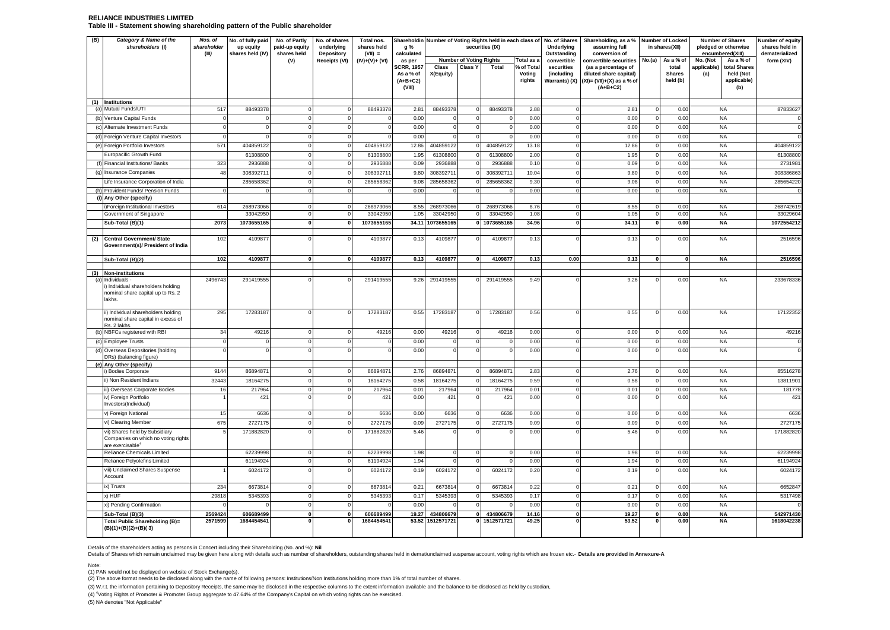### **RELIANCE INDUSTRIES LIMITED Table III - Statement showing shareholding pattern of the Public shareholder**

| (B) | Category & Name of the<br>shareholders (I)                                                                                   | Nos. of<br>shareholder<br>(III) | No. of fully paid<br>up equity<br>shares held (IV) | No. of Partly<br>paid-up equity<br>shares held | No. of shares<br>underlying<br>Depository | Total nos.<br>shares held<br>$(VII) =$ | Shareholdin<br>g %<br>calculated                       |                         |                                | Number of Voting Rights held in each class of<br>securities (IX) |                                | No. of Shares<br>Underlying<br>Outstanding | Shareholding, as a %<br>assuming full<br>conversion of                                      |                        | Number of Locked<br>in shares(XII) | <b>Number of Shares</b><br>pledged or otherwise<br>encumbered(XIII) |                                                 | Number of equity<br>shares held in<br>dematerialized |
|-----|------------------------------------------------------------------------------------------------------------------------------|---------------------------------|----------------------------------------------------|------------------------------------------------|-------------------------------------------|----------------------------------------|--------------------------------------------------------|-------------------------|--------------------------------|------------------------------------------------------------------|--------------------------------|--------------------------------------------|---------------------------------------------------------------------------------------------|------------------------|------------------------------------|---------------------------------------------------------------------|-------------------------------------------------|------------------------------------------------------|
|     |                                                                                                                              |                                 |                                                    | (V)                                            | Receipts (VI)                             | $(IV)+(V)+(V)$                         | as per                                                 |                         | <b>Number of Voting Rights</b> |                                                                  | Total as a                     | convertible                                | convertible securities                                                                      | No.(a)                 | As a % of                          | No. (Not                                                            | As a % of                                       | form (XIV)                                           |
|     |                                                                                                                              |                                 |                                                    |                                                |                                           |                                        | <b>SCRR, 1957</b><br>As a % of<br>$(A+B+C2)$<br>(VIII) | Class<br>X(Equity)      | Class Y                        | Total                                                            | % of Total<br>Voting<br>rights | securities<br>(including<br>Warrants) (X)  | (as a percentage of<br>diluted share capital)<br>$(XI) = (VII)+(X)$ as a % of<br>$(A+B+C2)$ |                        | total<br><b>Shares</b><br>held (b) | pplicable)<br>(a)                                                   | total Shares<br>held (Not<br>applicable)<br>(b) |                                                      |
| (a) | (1) Institutions<br>Mutual Funds/UTI                                                                                         | 517                             | 8849337                                            |                                                |                                           | 88493378                               | $2.8^{\circ}$                                          | 88493378                |                                | 8849337                                                          | 2.88                           |                                            | 2.81                                                                                        |                        | 0.00                               | <b>NA</b>                                                           |                                                 | 87833627                                             |
|     | Venture Capital Funds                                                                                                        |                                 |                                                    |                                                |                                           | $\Omega$                               | 0.00                                                   |                         |                                |                                                                  | 0.00                           |                                            | 0.00                                                                                        | $\Omega$               | 0.00                               | <b>NA</b>                                                           |                                                 |                                                      |
|     | (c) Alternate Investment Funds                                                                                               |                                 |                                                    |                                                |                                           |                                        | 0.00                                                   |                         |                                |                                                                  | 0.00                           |                                            | 0.00                                                                                        | $^{\circ}$             | 0.00                               | <b>NA</b>                                                           |                                                 |                                                      |
| (d) | Foreign Venture Capital Investors                                                                                            |                                 |                                                    |                                                |                                           | $\Omega$                               | 0.00                                                   |                         |                                |                                                                  | 0.00                           |                                            | 0.00                                                                                        | $\Omega$               | 0.00                               | <b>NA</b>                                                           |                                                 |                                                      |
|     | Foreign Portfolio Investors                                                                                                  | 571                             | 404859122                                          |                                                |                                           | 40485912                               | 12.86                                                  | 40485912                |                                | 40485912                                                         | 13.18                          |                                            | 12.86                                                                                       |                        | 0.00                               | <b>NA</b>                                                           |                                                 | 404859122                                            |
|     | Europacific Growth Fund                                                                                                      |                                 | 61308800                                           |                                                |                                           | 61308800                               | 1.95                                                   | 6130880                 |                                | 6130880                                                          | 2.00                           |                                            | 1.95                                                                                        | 0                      | 0.00                               | <b>NA</b>                                                           |                                                 | 61308800                                             |
|     | Financial Institutions/ Banks                                                                                                | 323                             | 2936888                                            |                                                |                                           | 293688                                 | 0.09                                                   | 293688                  |                                | 293688                                                           | 0.10                           |                                            | 0.09                                                                                        |                        | 0.00                               | <b>NA</b>                                                           |                                                 | 2731981                                              |
| (g) | <b>Insurance Companies</b>                                                                                                   | 48                              | 30839271                                           |                                                |                                           | 30839271                               | 9.80                                                   | 30839271                |                                | 30839271                                                         | 10.04                          |                                            | 9.80                                                                                        |                        | 0.00                               | <b>NA</b>                                                           |                                                 | 308386863                                            |
|     | Life Insurance Corporation of India                                                                                          |                                 | 285658362                                          |                                                |                                           | 285658362                              | 9.08                                                   | 285658362               |                                | 28565836                                                         | 9.3C                           |                                            | 9.08                                                                                        | $\Omega$               | 0.00                               | <b>NA</b>                                                           |                                                 | 285654220                                            |
|     | Provident Funds/ Pension Funds                                                                                               |                                 |                                                    |                                                |                                           |                                        | 0.00                                                   |                         |                                |                                                                  | 0.00                           |                                            | 0.00                                                                                        |                        | 0.00                               | <b>NA</b>                                                           |                                                 |                                                      |
|     | (i) Any Other (specify)<br>i)Foreign Institutional Investors                                                                 | 614                             | 268973066                                          |                                                |                                           | 268973066                              | 8.55                                                   | 268973066               |                                | 268973066                                                        | 8.76                           |                                            | 8.55                                                                                        |                        | 0.00                               | <b>NA</b>                                                           |                                                 | 268742619                                            |
|     | Government of Singapore                                                                                                      |                                 | 33042950                                           |                                                |                                           | 3304295                                | 1.05                                                   | 3304295                 |                                | 3304295                                                          | 1.08                           |                                            | 1.05                                                                                        |                        | 0.00                               | <b>NA</b>                                                           |                                                 | 33029604                                             |
|     | Sub-Total (B)(1)                                                                                                             | 2073                            | 1073655165                                         | $\Omega$                                       |                                           | 1073655165                             | 34.1'                                                  | 1073655165              |                                | 1073655165                                                       | 34.96                          |                                            | 34.11                                                                                       | $\mathbf{0}$           | 0.00                               | <b>NA</b>                                                           |                                                 | 1072554212                                           |
|     |                                                                                                                              |                                 |                                                    |                                                |                                           |                                        |                                                        |                         |                                |                                                                  |                                |                                            |                                                                                             |                        |                                    |                                                                     |                                                 |                                                      |
| (2) | <b>Central Government/ State</b><br>Government(s)/ President of India                                                        | 102                             | 4109877                                            |                                                |                                           | 410987                                 | 0.13                                                   | 410987                  |                                | 410987                                                           | 0.13                           |                                            | 0.13                                                                                        |                        | 0.00                               | <b>NA</b>                                                           |                                                 | 2516596                                              |
|     | Sub-Total (B)(2)                                                                                                             | 102                             | 4109877                                            |                                                |                                           | 4109877                                | 0.13                                                   | 4109877                 |                                | 4109877                                                          | 0.13                           | 0.00                                       | 0.13                                                                                        |                        | <b>n</b>                           | <b>NA</b>                                                           |                                                 | 2516596                                              |
| (3) | <b>Non-institutions</b>                                                                                                      |                                 |                                                    |                                                |                                           |                                        |                                                        |                         |                                |                                                                  |                                |                                            |                                                                                             |                        |                                    |                                                                     |                                                 |                                                      |
| (a) | Individuals -<br>i) Individual shareholders holding<br>nominal share capital up to Rs. 2<br>lakhs.                           | 2496743                         | 291419555                                          |                                                |                                           | 291419555                              | 9.26                                                   | 291419555               |                                | 291419555                                                        | 9.49                           |                                            | 9.26                                                                                        |                        | 0.00                               | <b>NA</b>                                                           |                                                 | 233678336                                            |
|     | ii) Individual shareholders holding<br>nominal share capital in excess of<br>Rs. 2 lakhs                                     | 295                             | 17283187                                           |                                                |                                           | 17283187                               | 0.55                                                   | 17283187                |                                | 17283187                                                         | 0.56                           |                                            | 0.55                                                                                        | $\Omega$               | 0.00                               | <b>NA</b>                                                           |                                                 | 17122352                                             |
|     | NBFCs registered with RBI                                                                                                    | 34                              | 4921                                               | $\Omega$                                       |                                           | 49216                                  | 0.00                                                   | 49216                   |                                | 4921                                                             | 0.00                           |                                            | 0.00                                                                                        | $\Omega$               | 0.00                               | <b>NA</b>                                                           |                                                 | 49216                                                |
|     | (c) Employee Trusts                                                                                                          |                                 |                                                    | $\Omega$                                       |                                           | $\Omega$                               | 0.00                                                   |                         |                                |                                                                  | 0.00                           |                                            | 0.00                                                                                        | $\Omega$               | 0.00                               | <b>NA</b>                                                           |                                                 |                                                      |
|     | Overseas Depositories (holding<br>DRs) (balancing figure)<br>(e) Any Other (specify)                                         |                                 |                                                    |                                                |                                           |                                        | 0.00                                                   |                         |                                |                                                                  | 0.00                           |                                            | 0.00                                                                                        |                        | 0.00                               | <b>NA</b>                                                           |                                                 |                                                      |
|     | i) Bodies Corporate                                                                                                          | 9144                            | 8689487                                            |                                                |                                           | 8689487                                | 2.76                                                   | 8689487                 |                                | 8689487                                                          | 2.83                           |                                            | 2.76                                                                                        |                        | 0.00                               | <b>NA</b>                                                           |                                                 | 85516278                                             |
|     | ii) Non Resident Indians                                                                                                     | 32443                           | 18164275                                           |                                                |                                           | 18164275                               | 0.58                                                   | 1816427                 |                                | 18164275                                                         | 0.59                           |                                            | 0.58                                                                                        |                        | 0.00                               | <b>NA</b>                                                           |                                                 | 13811901                                             |
|     | iii) Overseas Corporate Bodies                                                                                               | 16                              | 217964                                             | $\Omega$                                       |                                           | 217964                                 | 0.0                                                    | 217964                  |                                | 217964                                                           | 0.01                           |                                            | 0.01                                                                                        | $\Omega$               | 0.00                               | <b>NA</b>                                                           |                                                 | 181778                                               |
|     | iv) Foreign Portfolio<br>Investors(Individual)                                                                               |                                 | 421                                                |                                                |                                           | 421                                    | 0.00                                                   | 421                     |                                | 421                                                              | 0.00                           |                                            | 0.00                                                                                        |                        | 0.00                               | <b>NA</b>                                                           |                                                 | 421                                                  |
|     | v) Foreign National                                                                                                          |                                 | 6636                                               |                                                |                                           | 6636                                   | 0.00                                                   | 6636                    |                                | 663                                                              | 0.00                           |                                            | 0.00                                                                                        |                        | 0.00                               | <b>NA</b>                                                           |                                                 | 6636                                                 |
|     | vi) Clearing Member<br>vii) Shares held by Subsidiary<br>Companies on which no voting rights<br>are exercisable <sup>4</sup> | 675                             | 2727175<br>171882820                               | $\mathbf 0$                                    |                                           | 2727175<br>171882820                   | 0.09<br>5.46                                           | 2727175                 |                                | 2727175                                                          | 0.09<br>0.00                   |                                            | 0.09<br>5.46                                                                                | $^{\circ}$<br>$\Omega$ | 0.00<br>0.00                       | <b>NA</b><br><b>NA</b>                                              |                                                 | 2727175<br>171882820                                 |
|     | Reliance Chemicals Limited                                                                                                   |                                 | 62239998                                           | $\circ$                                        |                                           | 6223999                                | 1.98                                                   |                         | $\sqrt{2}$                     |                                                                  | 0.00                           |                                            | 1.98                                                                                        | $\Omega$               | 0.00                               | <b>NA</b>                                                           |                                                 | 62239998                                             |
|     | Reliance Polyolefins Limited                                                                                                 |                                 | 61194924                                           |                                                |                                           | 61194924                               | 1.94                                                   |                         |                                |                                                                  | 0.00                           |                                            | 1.94                                                                                        | $\mathbf 0$            | 0.00                               | <b>NA</b>                                                           |                                                 | 61194924                                             |
|     | viii) Unclaimed Shares Suspense<br>Account                                                                                   |                                 | 6024172                                            |                                                |                                           | 6024172                                | 0.19                                                   | 6024172                 |                                | 6024172                                                          | 0.20                           |                                            | 0.19                                                                                        |                        | 0.00                               | <b>NA</b>                                                           |                                                 | 6024172                                              |
|     | ix) Trusts                                                                                                                   | 234                             | 667381                                             |                                                |                                           | 667381                                 | $0.2^{\circ}$                                          | 667381                  |                                | 667381                                                           | 0.22                           |                                            | 0.21                                                                                        | $\Omega$               | 0.00                               | <b>NA</b>                                                           |                                                 | 6652847                                              |
|     | x) HUF                                                                                                                       | 29818                           | 5345393                                            | $\mathbf 0$                                    |                                           | 5345393                                | 0.1                                                    | 5345393                 |                                | 534539                                                           | 0.17                           |                                            | 0.17                                                                                        | $\circ$                | 0.00                               | <b>NA</b>                                                           |                                                 | 5317498                                              |
|     | xi) Pending Confirmation                                                                                                     |                                 |                                                    |                                                |                                           |                                        | 0.00                                                   |                         |                                |                                                                  | 0.00                           |                                            | 0.00                                                                                        | $\Omega$               | 0.00                               | <b>NA</b>                                                           |                                                 |                                                      |
|     | Sub-Total (B)(3)<br>Total Public Shareholding (B)=                                                                           | 2569424<br>2571599              | 606689499<br>1684454541                            | $\mathbf{0}$                                   |                                           | 606689499<br>1684454541                | 19.27<br>53.52                                         | 434806679<br>1512571721 | $\Omega$                       | 43480667<br>1512571721                                           | 14.16<br>49.25                 | $\mathbf 0$                                | 19.27<br>53.52                                                                              | $\bf{0}$               | 0.00<br>0.00                       | <b>NA</b><br><b>NA</b>                                              |                                                 | 542971430<br>1618042238                              |
|     | $(B)(1)+(B)(2)+(B)(3)$                                                                                                       |                                 |                                                    |                                                |                                           |                                        |                                                        |                         |                                |                                                                  |                                |                                            |                                                                                             |                        |                                    |                                                                     |                                                 |                                                      |

Details of the shareholders acting as persons in Concert including their Shareholding (No. and %): Nil<br>Details of Shares which remain unclaimed may be given here along with details such as number of shareholders, outstandi

Note:

(1) PAN would not be displayed on website of Stock Exchange(s).<br>(2) The above format needs to be disclosed along with the name of following persons: Institutions/Non Institutions holding more than 1% of total number of sha

(3) W.r.t. the information pertaining to Depository Receipts, the same may be disclosed in the respective columns to the extent information available and the balance to be disclosed as held by custodian,

(4) <sup>4</sup>Voting Rights of Promoter & Promoter Group aggregate to 47.64% of the Company's Capital on which voting rights can be exercised.

(5) NA denotes "Not Applicable"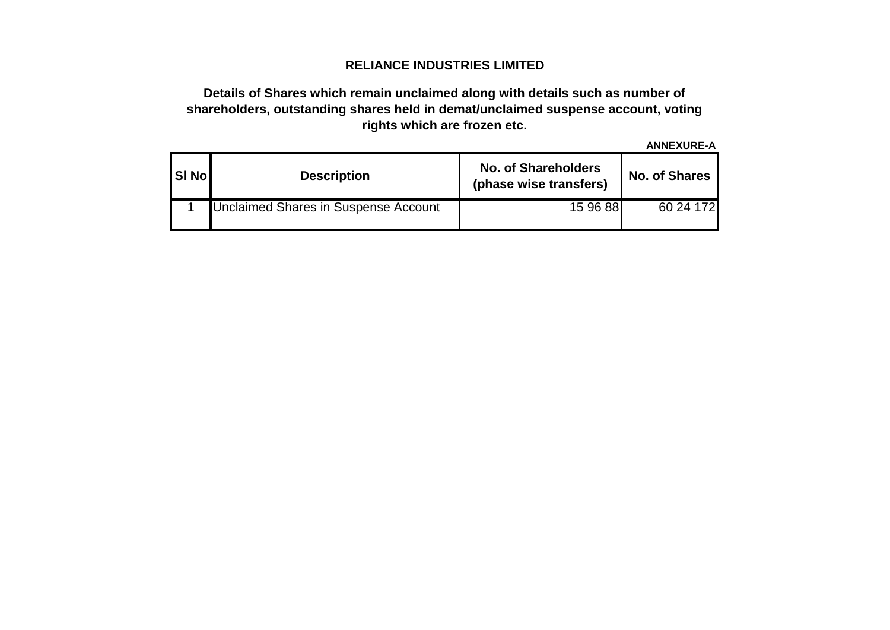# **RELIANCE INDUSTRIES LIMITED**

# **Details of Shares which remain unclaimed along with details such as number of shareholders, outstanding shares held in demat/unclaimed suspense account, voting rights which are frozen etc.**

**ANNEXURE-A**

| <b>SI Nol</b> | <b>Description</b>                          | <b>No. of Shareholders</b><br>(phase wise transfers) | No. of Shares |
|---------------|---------------------------------------------|------------------------------------------------------|---------------|
|               | <b>Unclaimed Shares in Suspense Account</b> | 15 96 88                                             | 60 24 172     |